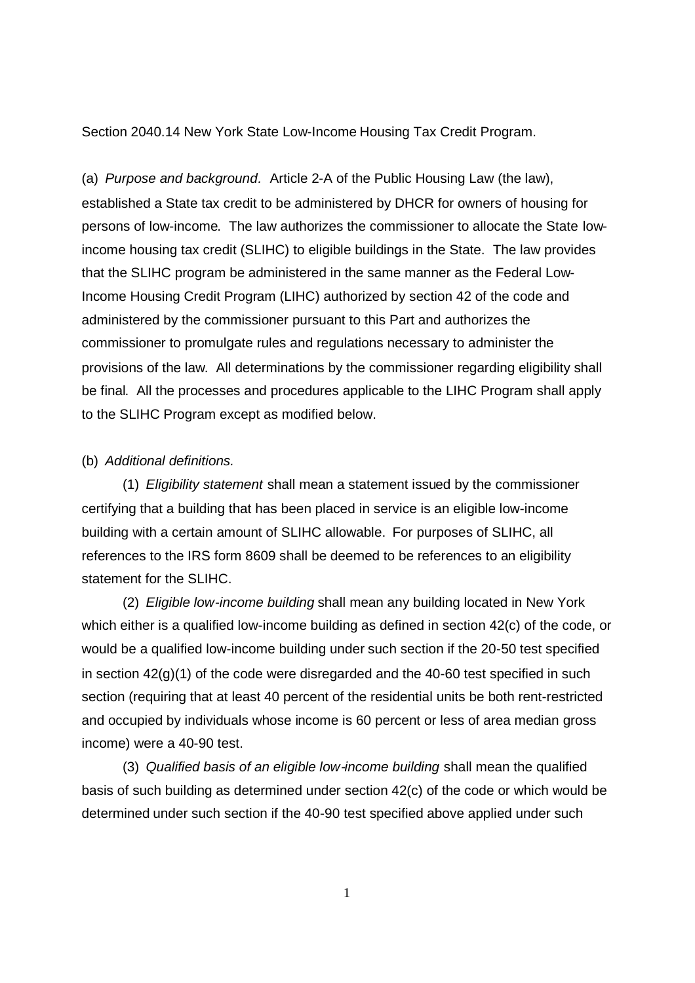Section 2040.14 New York State Low-Income Housing Tax Credit Program.

(a) *Purpose and background.* Article 2-A of the Public Housing Law (the law), established a State tax credit to be administered by DHCR for owners of housing for persons of low-income. The law authorizes the commissioner to allocate the State lowincome housing tax credit (SLIHC) to eligible buildings in the State. The law provides that the SLIHC program be administered in the same manner as the Federal Low-Income Housing Credit Program (LIHC) authorized by section 42 of the code and administered by the commissioner pursuant to this Part and authorizes the commissioner to promulgate rules and regulations necessary to administer the provisions of the law. All determinations by the commissioner regarding eligibility shall be final. All the processes and procedures applicable to the LIHC Program shall apply to the SLIHC Program except as modified below.

## (b) *Additional definitions.*

(1) *Eligibility statement* shall mean a statement issued by the commissioner certifying that a building that has been placed in service is an eligible low-income building with a certain amount of SLIHC allowable. For purposes of SLIHC, all references to the IRS form 8609 shall be deemed to be references to an eligibility statement for the SLIHC.

(2) *Eligible low-income building* shall mean any building located in New York which either is a qualified low-income building as defined in section 42(c) of the code, or would be a qualified low-income building under such section if the 20-50 test specified in section 42(g)(1) of the code were disregarded and the 40-60 test specified in such section (requiring that at least 40 percent of the residential units be both rent-restricted and occupied by individuals whose income is 60 percent or less of area median gross income) were a 40-90 test.

(3) *Qualified basis of an eligible low-income building* shall mean the qualified basis of such building as determined under section 42(c) of the code or which would be determined under such section if the 40-90 test specified above applied under such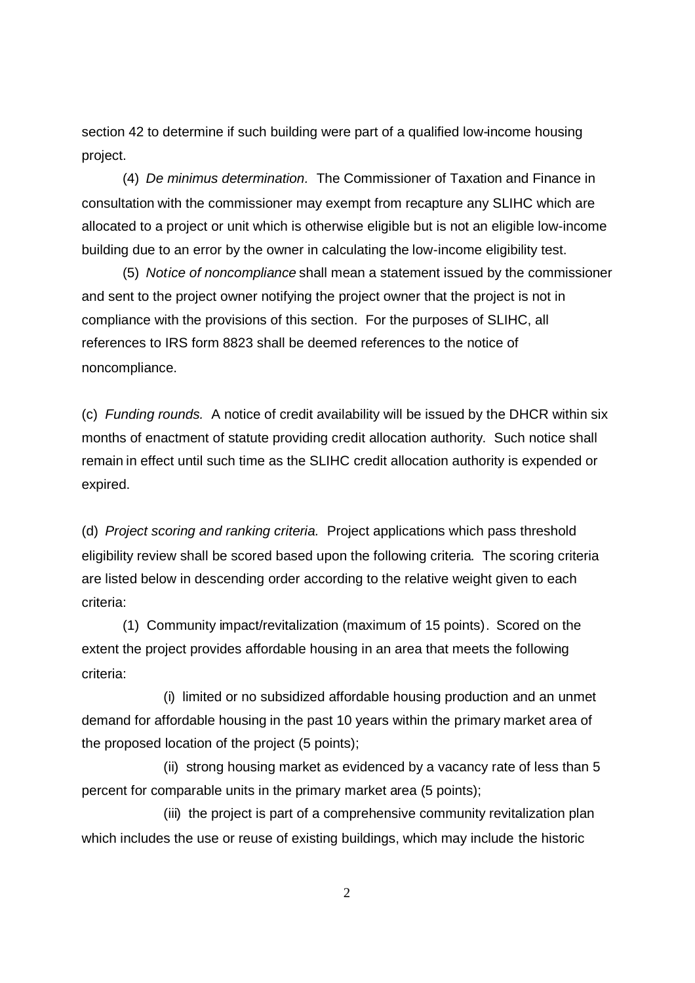section 42 to determine if such building were part of a qualified low-income housing project.

(4) *De minimus determination.* The Commissioner of Taxation and Finance in consultation with the commissioner may exempt from recapture any SLIHC which are allocated to a project or unit which is otherwise eligible but is not an eligible low-income building due to an error by the owner in calculating the low-income eligibility test.

(5) *Notice of noncompliance* shall mean a statement issued by the commissioner and sent to the project owner notifying the project owner that the project is not in compliance with the provisions of this section. For the purposes of SLIHC, all references to IRS form 8823 shall be deemed references to the notice of noncompliance.

(c) *Funding rounds.* A notice of credit availability will be issued by the DHCR within six months of enactment of statute providing credit allocation authority. Such notice shall remain in effect until such time as the SLIHC credit allocation authority is expended or expired.

(d) *Project scoring and ranking criteria.* Project applications which pass threshold eligibility review shall be scored based upon the following criteria. The scoring criteria are listed below in descending order according to the relative weight given to each criteria:

(1) Community impact/revitalization (maximum of 15 points). Scored on the extent the project provides affordable housing in an area that meets the following criteria:

(i) limited or no subsidized affordable housing production and an unmet demand for affordable housing in the past 10 years within the primary market area of the proposed location of the project (5 points);

(ii) strong housing market as evidenced by a vacancy rate of less than 5 percent for comparable units in the primary market area (5 points);

(iii) the project is part of a comprehensive community revitalization plan which includes the use or reuse of existing buildings, which may include the historic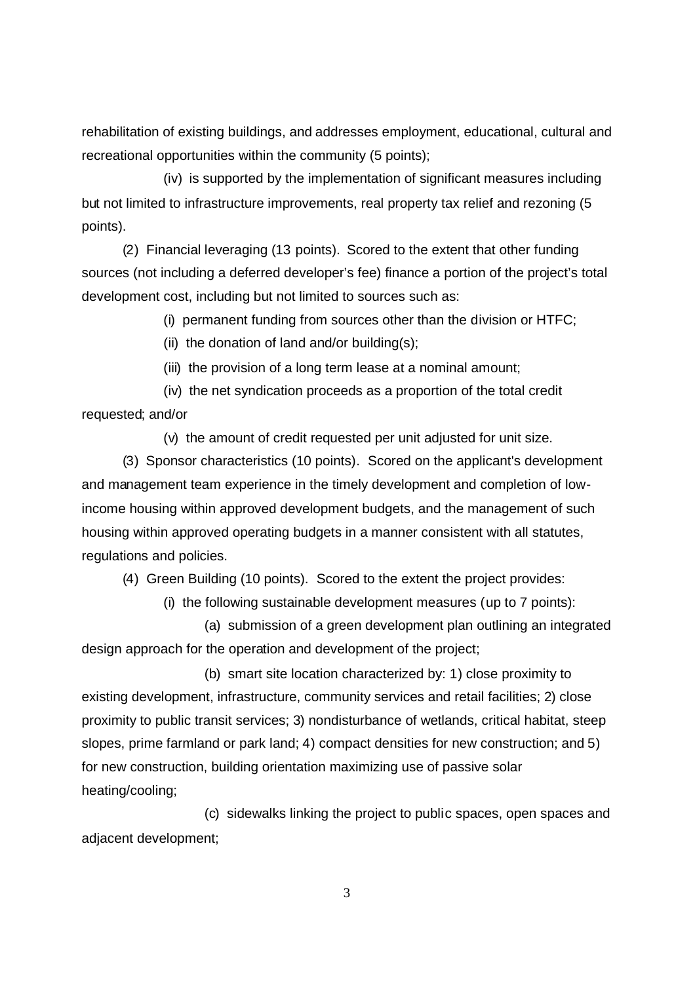rehabilitation of existing buildings, and addresses employment, educational, cultural and recreational opportunities within the community (5 points);

(iv) is supported by the implementation of significant measures including but not limited to infrastructure improvements, real property tax relief and rezoning (5 points).

(2) Financial leveraging (13 points). Scored to the extent that other funding sources (not including a deferred developer's fee) finance a portion of the project's total development cost, including but not limited to sources such as:

(i) permanent funding from sources other than the division or HTFC;

(ii) the donation of land and/or building(s);

(iii) the provision of a long term lease at a nominal amount;

(iv) the net syndication proceeds as a proportion of the total credit requested; and/or

(v) the amount of credit requested per unit adjusted for unit size.

(3) Sponsor characteristics (10 points). Scored on the applicant's development and management team experience in the timely development and completion of lowincome housing within approved development budgets, and the management of such housing within approved operating budgets in a manner consistent with all statutes, regulations and policies.

(4) Green Building (10 points). Scored to the extent the project provides:

(i) the following sustainable development measures (up to 7 points):

(a) submission of a green development plan outlining an integrated design approach for the operation and development of the project;

(b) smart site location characterized by: 1) close proximity to existing development, infrastructure, community services and retail facilities; 2) close proximity to public transit services; 3) nondisturbance of wetlands, critical habitat, steep slopes, prime farmland or park land; 4) compact densities for new construction; and 5) for new construction, building orientation maximizing use of passive solar heating/cooling;

(c) sidewalks linking the project to public spaces, open spaces and adjacent development;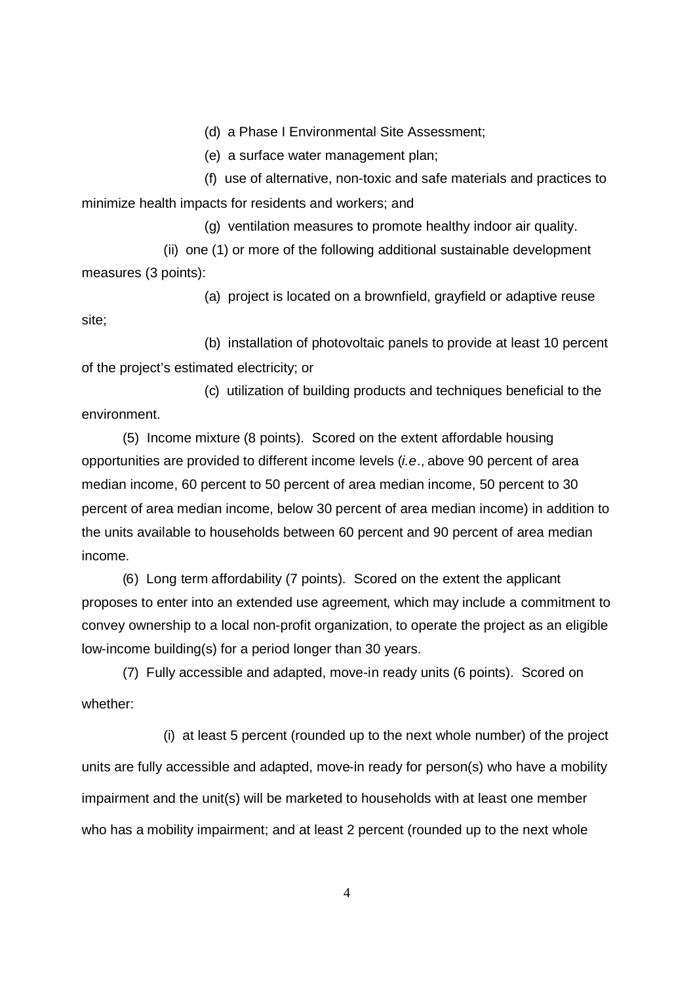(d) a Phase I Environmental Site Assessment;

(e) a surface water management plan;

(f) use of alternative, non-toxic and safe materials and practices to minimize health impacts for residents and workers; and

(g) ventilation measures to promote healthy indoor air quality.

(ii) one (1) or more of the following additional sustainable development measures (3 points):

(a) project is located on a brownfield, grayfield or adaptive reuse site;

(b) installation of photovoltaic panels to provide at least 10 percent of the project's estimated electricity; or

(c) utilization of building products and techniques beneficial to the environment.

(5) Income mixture (8 points). Scored on the extent affordable housing opportunities are provided to different income levels (*i.e*., above 90 percent of area median income, 60 percent to 50 percent of area median income, 50 percent to 30 percent of area median income, below 30 percent of area median income) in addition to the units available to households between 60 percent and 90 percent of area median income.

(6) Long term affordability (7 points). Scored on the extent the applicant proposes to enter into an extended use agreement, which may include a commitment to convey ownership to a local non-profit organization, to operate the project as an eligible low-income building(s) for a period longer than 30 years.

(7) Fully accessible and adapted, move-in ready units (6 points). Scored on whether:

(i) at least 5 percent (rounded up to the next whole number) of the project units are fully accessible and adapted, move-in ready for person(s) who have a mobility impairment and the unit(s) will be marketed to households with at least one member who has a mobility impairment; and at least 2 percent (rounded up to the next whole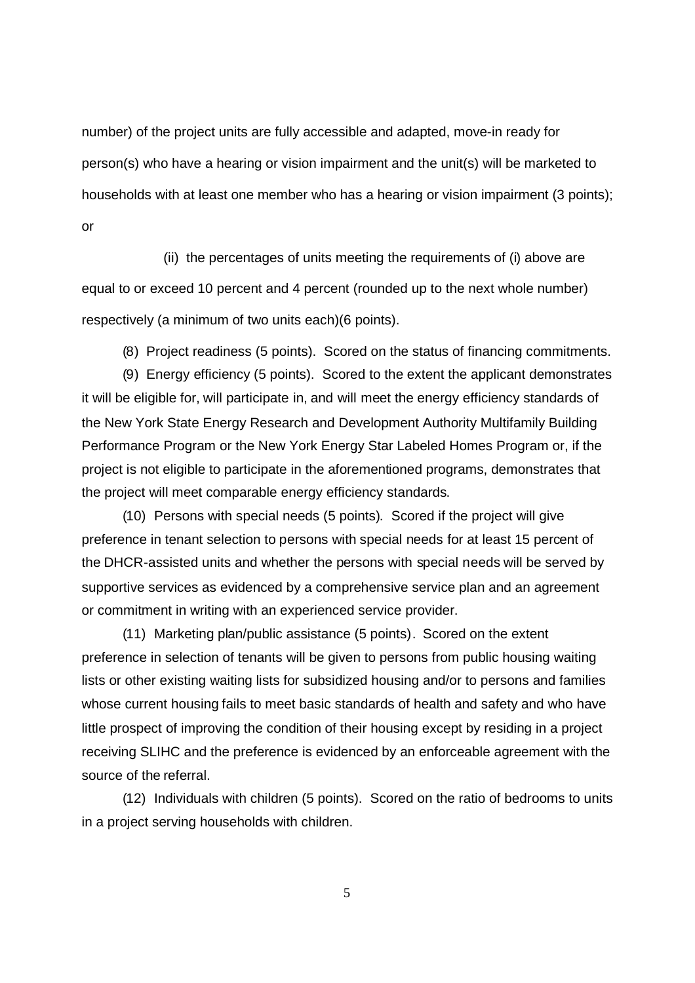number) of the project units are fully accessible and adapted, move-in ready for person(s) who have a hearing or vision impairment and the unit(s) will be marketed to households with at least one member who has a hearing or vision impairment (3 points); or

(ii) the percentages of units meeting the requirements of (i) above are equal to or exceed 10 percent and 4 percent (rounded up to the next whole number) respectively (a minimum of two units each)(6 points).

(8) Project readiness (5 points). Scored on the status of financing commitments.

(9) Energy efficiency (5 points). Scored to the extent the applicant demonstrates it will be eligible for, will participate in, and will meet the energy efficiency standards of the New York State Energy Research and Development Authority Multifamily Building Performance Program or the New York Energy Star Labeled Homes Program or, if the project is not eligible to participate in the aforementioned programs, demonstrates that the project will meet comparable energy efficiency standards.

(10) Persons with special needs (5 points). Scored if the project will give preference in tenant selection to persons with special needs for at least 15 percent of the DHCR-assisted units and whether the persons with special needs will be served by supportive services as evidenced by a comprehensive service plan and an agreement or commitment in writing with an experienced service provider.

(11) Marketing plan/public assistance (5 points). Scored on the extent preference in selection of tenants will be given to persons from public housing waiting lists or other existing waiting lists for subsidized housing and/or to persons and families whose current housing fails to meet basic standards of health and safety and who have little prospect of improving the condition of their housing except by residing in a project receiving SLIHC and the preference is evidenced by an enforceable agreement with the source of the referral.

(12) Individuals with children (5 points). Scored on the ratio of bedrooms to units in a project serving households with children.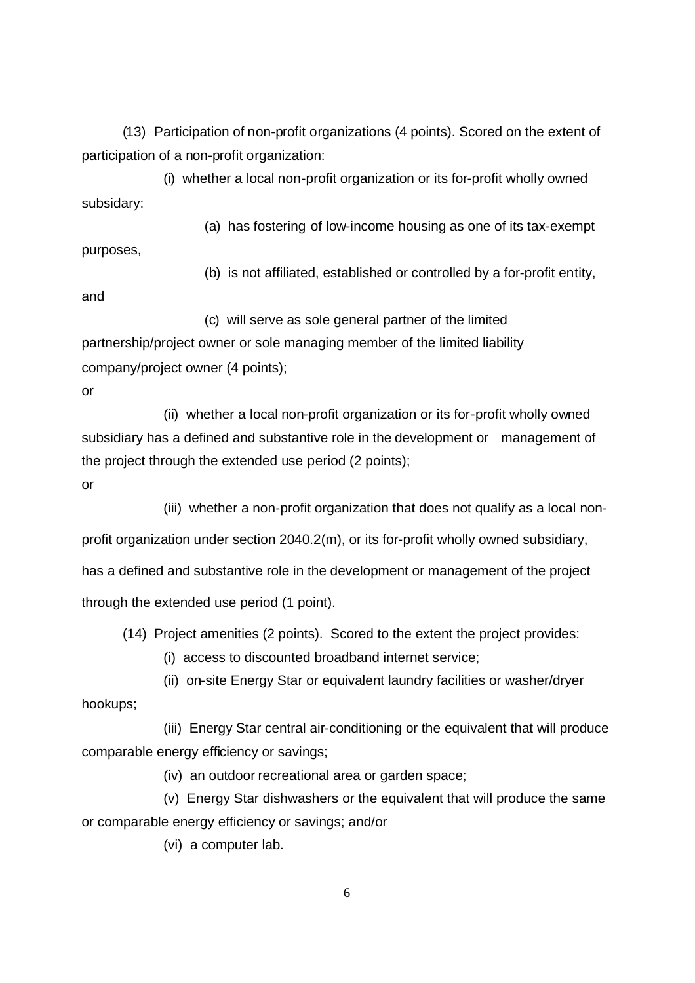(13) Participation of non-profit organizations (4 points). Scored on the extent of participation of a non-profit organization:

(i) whether a local non-profit organization or its for-profit wholly owned subsidary:

(a) has fostering of low-income housing as one of its tax-exempt purposes,

(b) is not affiliated, established or controlled by a for-profit entity,

and

(c) will serve as sole general partner of the limited

partnership/project owner or sole managing member of the limited liability company/project owner (4 points);

or

(ii) whether a local non-profit organization or its for-profit wholly owned subsidiary has a defined and substantive role in the development or management of the project through the extended use period (2 points);

or

(iii) whether a non-profit organization that does not qualify as a local nonprofit organization under section 2040.2(m), or its for-profit wholly owned subsidiary, has a defined and substantive role in the development or management of the project through the extended use period (1 point).

(14) Project amenities (2 points). Scored to the extent the project provides:

(i) access to discounted broadband internet service;

(ii) on-site Energy Star or equivalent laundry facilities or washer/dryer

hookups;

(iii) Energy Star central air-conditioning or the equivalent that will produce comparable energy efficiency or savings;

(iv) an outdoor recreational area or garden space;

(v) Energy Star dishwashers or the equivalent that will produce the same or comparable energy efficiency or savings; and/or

(vi) a computer lab.